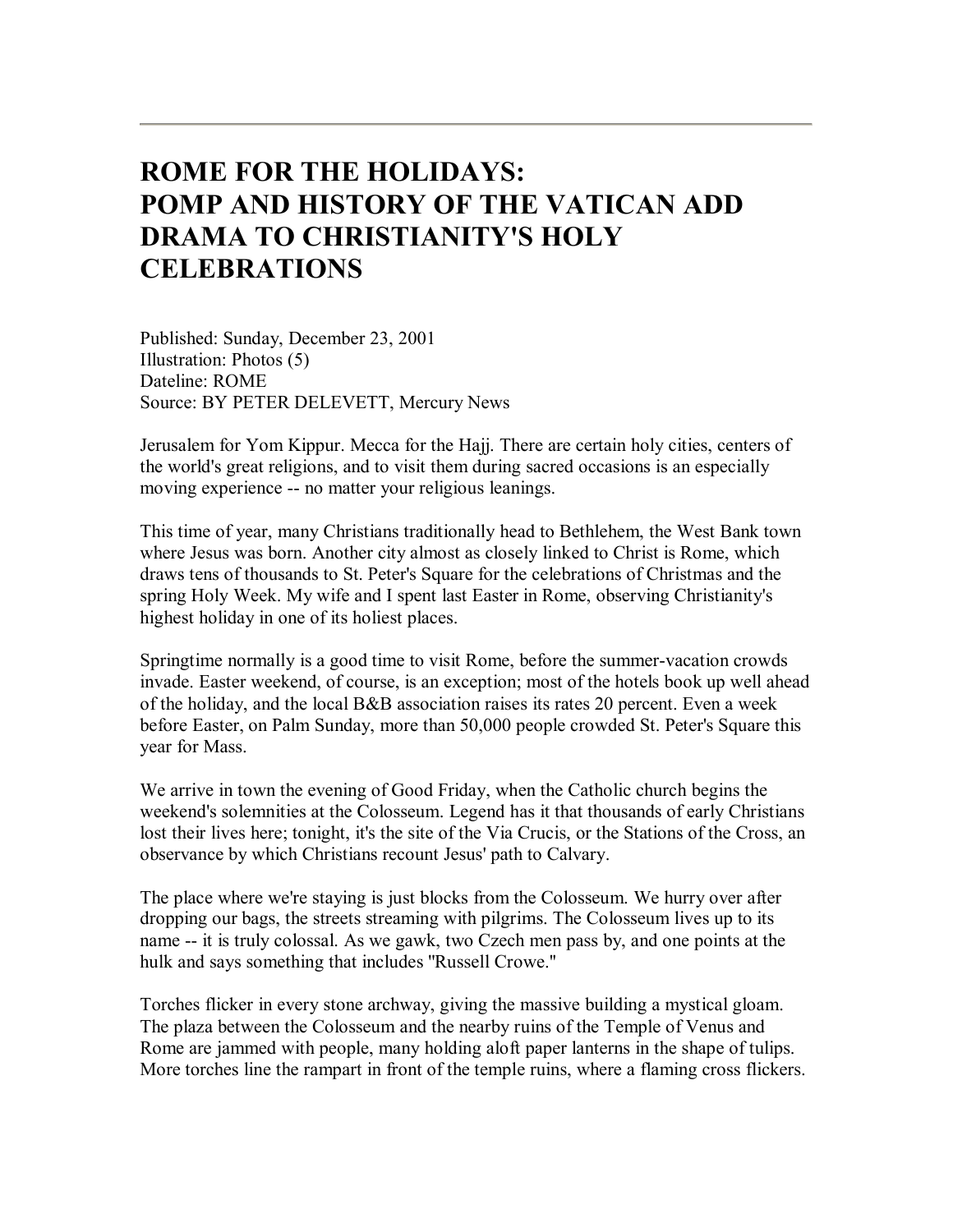# **ROME FOR THE HOLIDAYS: POMP AND HISTORY OF THE VATICAN ADD DRAMA TO CHRISTIANITY'S HOLY CELEBRATIONS**

Published: Sunday, December 23, 2001 Illustration: Photos (5) Dateline: ROME Source: BY PETER DELEVETT, Mercury News

Jerusalem for Yom Kippur. Mecca for the Hajj. There are certain holy cities, centers of the world's great religions, and to visit them during sacred occasions is an especially moving experience -- no matter your religious leanings.

This time of year, many Christians traditionally head to Bethlehem, the West Bank town where Jesus was born. Another city almost as closely linked to Christ is Rome, which draws tens of thousands to St. Peter's Square for the celebrations of Christmas and the spring Holy Week. My wife and I spent last Easter in Rome, observing Christianity's highest holiday in one of its holiest places.

Springtime normally is a good time to visit Rome, before the summer-vacation crowds invade. Easter weekend, of course, is an exception; most of the hotels book up well ahead of the holiday, and the local B&B association raises its rates 20 percent. Even a week before Easter, on Palm Sunday, more than 50,000 people crowded St. Peter's Square this year for Mass.

We arrive in town the evening of Good Friday, when the Catholic church begins the weekend's solemnities at the Colosseum. Legend has it that thousands of early Christians lost their lives here; tonight, it's the site of the Via Crucis, or the Stations of the Cross, an observance by which Christians recount Jesus' path to Calvary.

The place where we're staying is just blocks from the Colosseum. We hurry over after dropping our bags, the streets streaming with pilgrims. The Colosseum lives up to its name -- it is truly colossal. As we gawk, two Czech men pass by, and one points at the hulk and says something that includes ''Russell Crowe.''

Torches flicker in every stone archway, giving the massive building a mystical gloam. The plaza between the Colosseum and the nearby ruins of the Temple of Venus and Rome are jammed with people, many holding aloft paper lanterns in the shape of tulips. More torches line the rampart in front of the temple ruins, where a flaming cross flickers.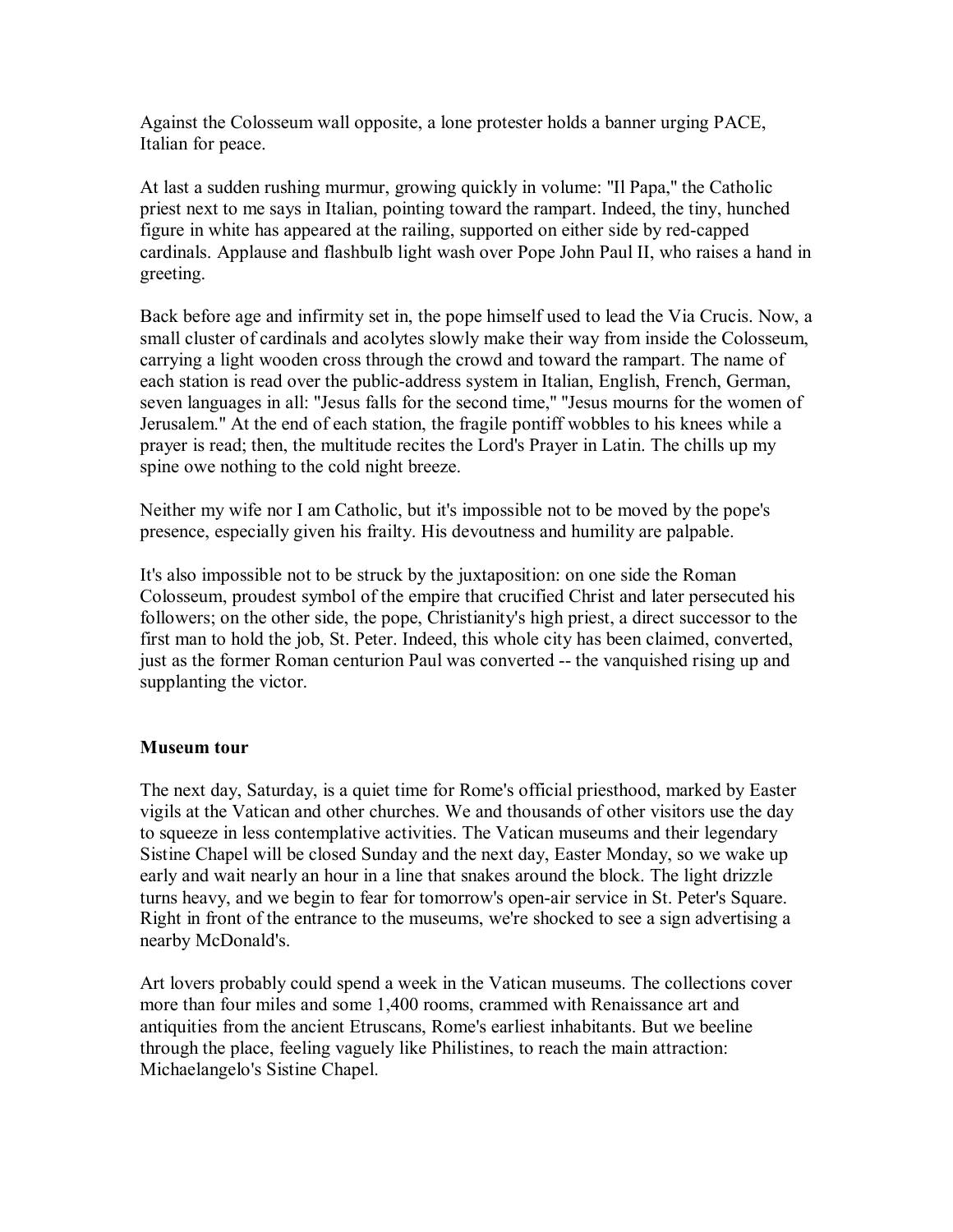Against the Colosseum wall opposite, a lone protester holds a banner urging PACE, Italian for peace.

At last a sudden rushing murmur, growing quickly in volume: ''Il Papa,'' the Catholic priest next to me says in Italian, pointing toward the rampart. Indeed, the tiny, hunched figure in white has appeared at the railing, supported on either side by red-capped cardinals. Applause and flashbulb light wash over Pope John Paul II, who raises a hand in greeting.

Back before age and infirmity set in, the pope himself used to lead the Via Crucis. Now, a small cluster of cardinals and acolytes slowly make their way from inside the Colosseum, carrying a light wooden cross through the crowd and toward the rampart. The name of each station is read over the public-address system in Italian, English, French, German, seven languages in all: ''Jesus falls for the second time,'' ''Jesus mourns for the women of Jerusalem.'' At the end of each station, the fragile pontiff wobbles to his knees while a prayer is read; then, the multitude recites the Lord's Prayer in Latin. The chills up my spine owe nothing to the cold night breeze.

Neither my wife nor I am Catholic, but it's impossible not to be moved by the pope's presence, especially given his frailty. His devoutness and humility are palpable.

It's also impossible not to be struck by the juxtaposition: on one side the Roman Colosseum, proudest symbol of the empire that crucified Christ and later persecuted his followers; on the other side, the pope, Christianity's high priest, a direct successor to the first man to hold the job, St. Peter. Indeed, this whole city has been claimed, converted, just as the former Roman centurion Paul was converted -- the vanquished rising up and supplanting the victor.

## **Museum tour**

The next day, Saturday, is a quiet time for Rome's official priesthood, marked by Easter vigils at the Vatican and other churches. We and thousands of other visitors use the day to squeeze in less contemplative activities. The Vatican museums and their legendary Sistine Chapel will be closed Sunday and the next day, Easter Monday, so we wake up early and wait nearly an hour in a line that snakes around the block. The light drizzle turns heavy, and we begin to fear for tomorrow's open-air service in St. Peter's Square. Right in front of the entrance to the museums, we're shocked to see a sign advertising a nearby McDonald's.

Art lovers probably could spend a week in the Vatican museums. The collections cover more than four miles and some 1,400 rooms, crammed with Renaissance art and antiquities from the ancient Etruscans, Rome's earliest inhabitants. But we beeline through the place, feeling vaguely like Philistines, to reach the main attraction: Michaelangelo's Sistine Chapel.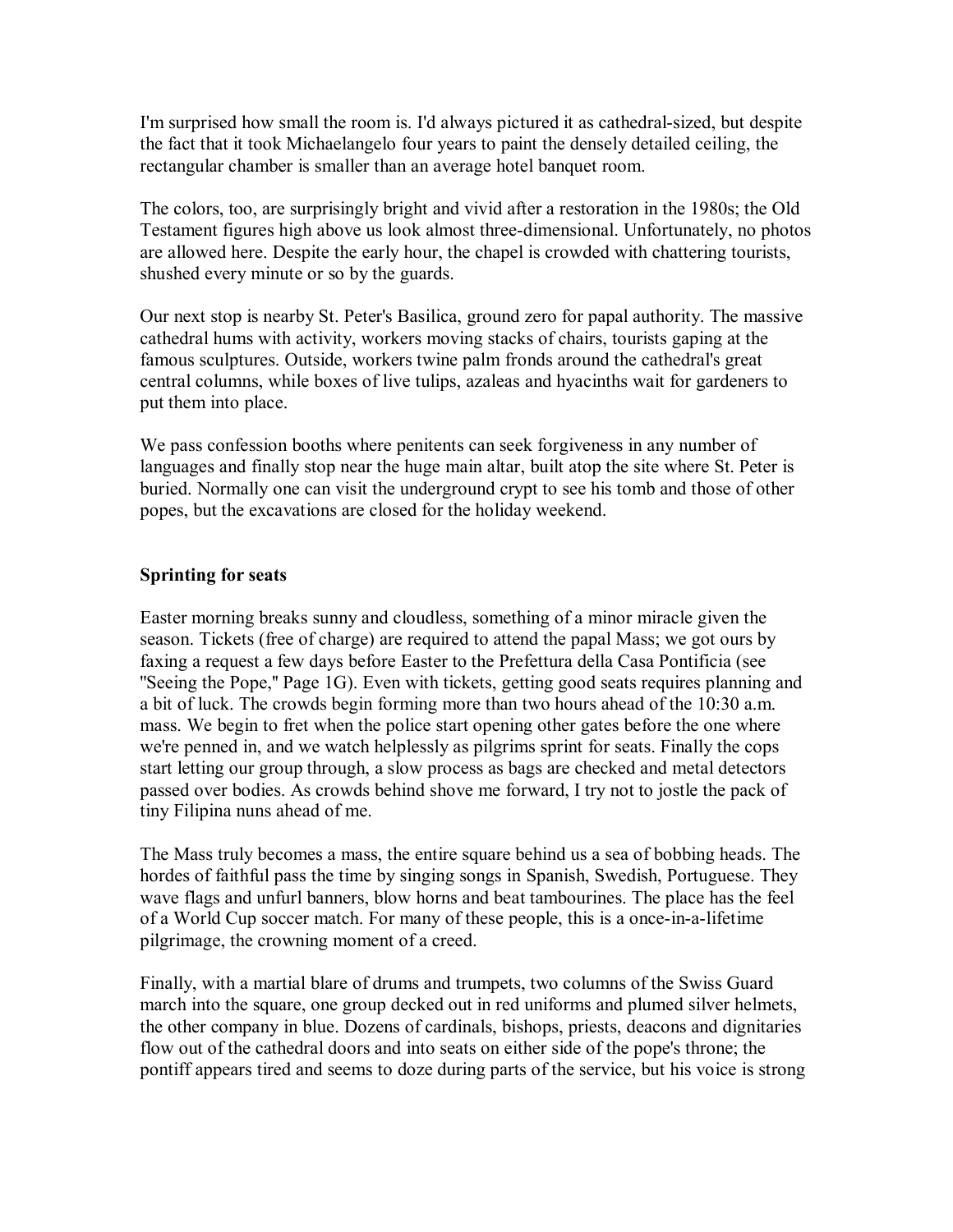I'm surprised how small the room is. I'd always pictured it as cathedral-sized, but despite the fact that it took Michaelangelo four years to paint the densely detailed ceiling, the rectangular chamber is smaller than an average hotel banquet room.

The colors, too, are surprisingly bright and vivid after a restoration in the 1980s; the Old Testament figures high above us look almost three-dimensional. Unfortunately, no photos are allowed here. Despite the early hour, the chapel is crowded with chattering tourists, shushed every minute or so by the guards.

Our next stop is nearby St. Peter's Basilica, ground zero for papal authority. The massive cathedral hums with activity, workers moving stacks of chairs, tourists gaping at the famous sculptures. Outside, workers twine palm fronds around the cathedral's great central columns, while boxes of live tulips, azaleas and hyacinths wait for gardeners to put them into place.

We pass confession booths where penitents can seek forgiveness in any number of languages and finally stop near the huge main altar, built atop the site where St. Peter is buried. Normally one can visit the underground crypt to see his tomb and those of other popes, but the excavations are closed for the holiday weekend.

## **Sprinting for seats**

Easter morning breaks sunny and cloudless, something of a minor miracle given the season. Tickets (free of charge) are required to attend the papal Mass; we got ours by faxing a request a few days before Easter to the Prefettura della Casa Pontificia (see ''Seeing the Pope,'' Page 1G). Even with tickets, getting good seats requires planning and a bit of luck. The crowds begin forming more than two hours ahead of the 10:30 a.m. mass. We begin to fret when the police start opening other gates before the one where we're penned in, and we watch helplessly as pilgrims sprint for seats. Finally the cops start letting our group through, a slow process as bags are checked and metal detectors passed over bodies. As crowds behind shove me forward, I try not to jostle the pack of tiny Filipina nuns ahead of me.

The Mass truly becomes a mass, the entire square behind us a sea of bobbing heads. The hordes of faithful pass the time by singing songs in Spanish, Swedish, Portuguese. They wave flags and unfurl banners, blow horns and beat tambourines. The place has the feel of a World Cup soccer match. For many of these people, this is a once-in-a-lifetime pilgrimage, the crowning moment of a creed.

Finally, with a martial blare of drums and trumpets, two columns of the Swiss Guard march into the square, one group decked out in red uniforms and plumed silver helmets, the other company in blue. Dozens of cardinals, bishops, priests, deacons and dignitaries flow out of the cathedral doors and into seats on either side of the pope's throne; the pontiff appears tired and seems to doze during parts of the service, but his voice is strong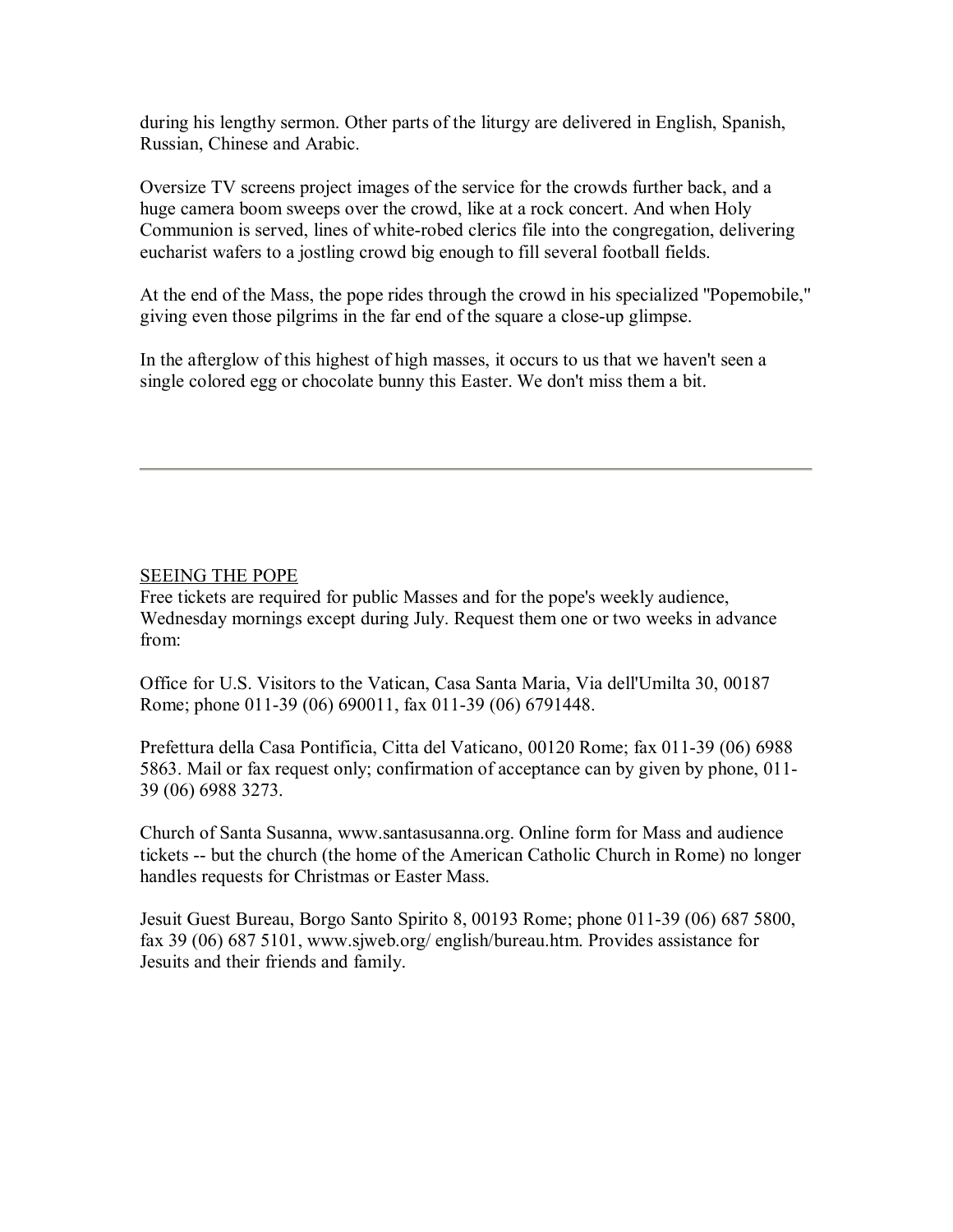during his lengthy sermon. Other parts of the liturgy are delivered in English, Spanish, Russian, Chinese and Arabic.

Oversize TV screens project images of the service for the crowds further back, and a huge camera boom sweeps over the crowd, like at a rock concert. And when Holy Communion is served, lines of white-robed clerics file into the congregation, delivering eucharist wafers to a jostling crowd big enough to fill several football fields.

At the end of the Mass, the pope rides through the crowd in his specialized ''Popemobile,'' giving even those pilgrims in the far end of the square a close-up glimpse.

In the afterglow of this highest of high masses, it occurs to us that we haven't seen a single colored egg or chocolate bunny this Easter. We don't miss them a bit.

### SEEING THE POPE

Free tickets are required for public Masses and for the pope's weekly audience, Wednesday mornings except during July. Request them one or two weeks in advance from:

Office for U.S. Visitors to the Vatican, Casa Santa Maria, Via dell'Umilta 30, 00187 Rome; phone 011-39 (06) 690011, fax 011-39 (06) 6791448.

Prefettura della Casa Pontificia, Citta del Vaticano, 00120 Rome; fax 011-39 (06) 6988 5863. Mail or fax request only; confirmation of acceptance can by given by phone, 011- 39 (06) 6988 3273.

Church of Santa Susanna, www.santasusanna.org. Online form for Mass and audience tickets -- but the church (the home of the American Catholic Church in Rome) no longer handles requests for Christmas or Easter Mass.

Jesuit Guest Bureau, Borgo Santo Spirito 8, 00193 Rome; phone 011-39 (06) 687 5800, fax 39 (06) 687 5101, www.sjweb.org/ english/bureau.htm. Provides assistance for Jesuits and their friends and family.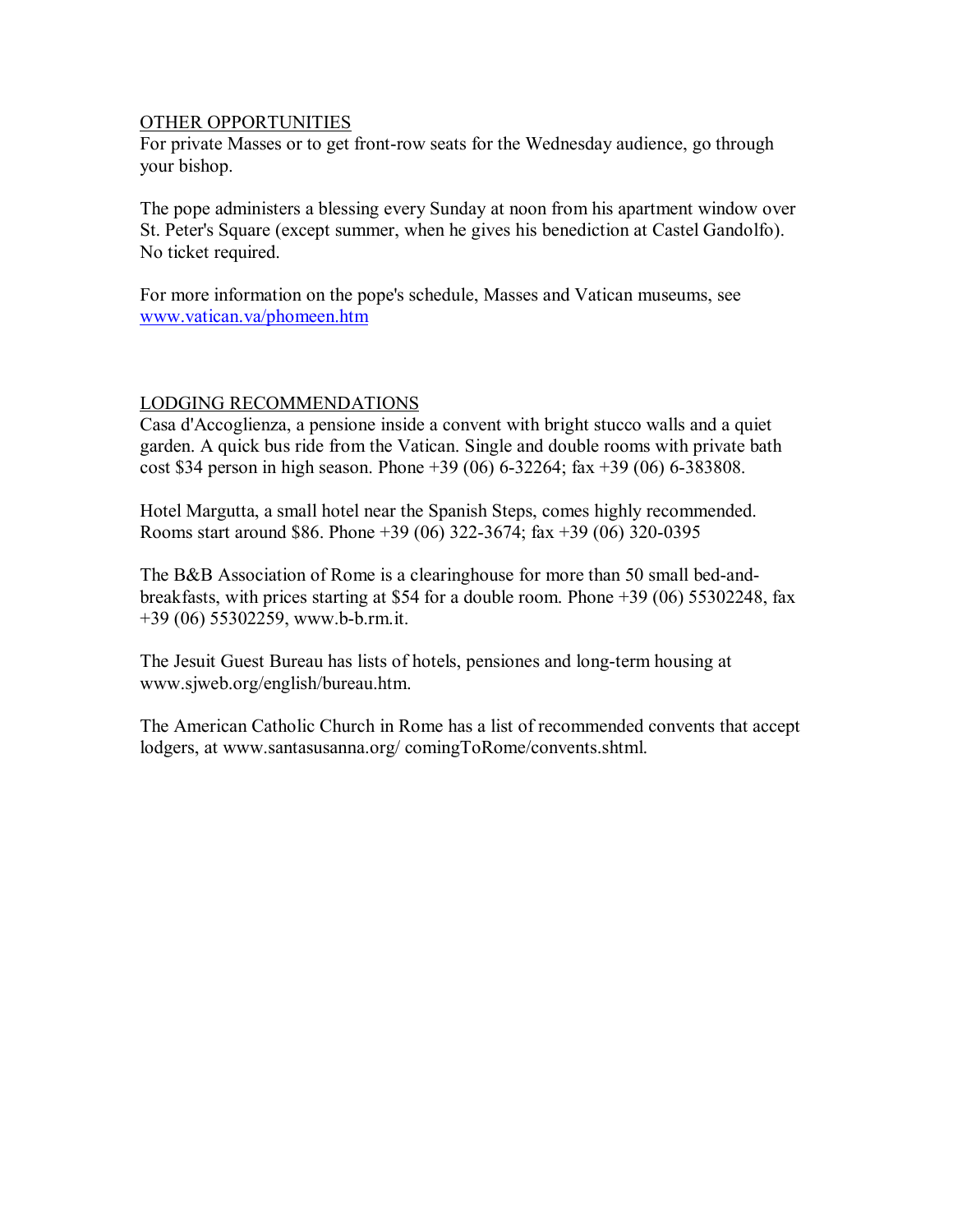#### OTHER OPPORTUNITIES

For private Masses or to get front-row seats for the Wednesday audience, go through your bishop.

The pope administers a blessing every Sunday at noon from his apartment window over St. Peter's Square (except summer, when he gives his benediction at Castel Gandolfo). No ticket required.

For more information on the pope's schedule, Masses and Vatican museums, see www.vatican.va/phomeen.htm

## LODGING RECOMMENDATIONS

Casa d'Accoglienza, a pensione inside a convent with bright stucco walls and a quiet garden. A quick bus ride from the Vatican. Single and double rooms with private bath cost \$34 person in high season. Phone +39 (06) 6-32264; fax +39 (06) 6-383808.

Hotel Margutta, a small hotel near the Spanish Steps, comes highly recommended. Rooms start around \$86. Phone +39 (06) 322-3674; fax +39 (06) 320-0395

The B&B Association of Rome is a clearinghouse for more than 50 small bed-andbreakfasts, with prices starting at \$54 for a double room. Phone +39 (06) 55302248, fax +39 (06) 55302259, www.b-b.rm.it.

The Jesuit Guest Bureau has lists of hotels, pensiones and long-term housing at www.sjweb.org/english/bureau.htm.

The American Catholic Church in Rome has a list of recommended convents that accept lodgers, at www.santasusanna.org/ comingToRome/convents.shtml.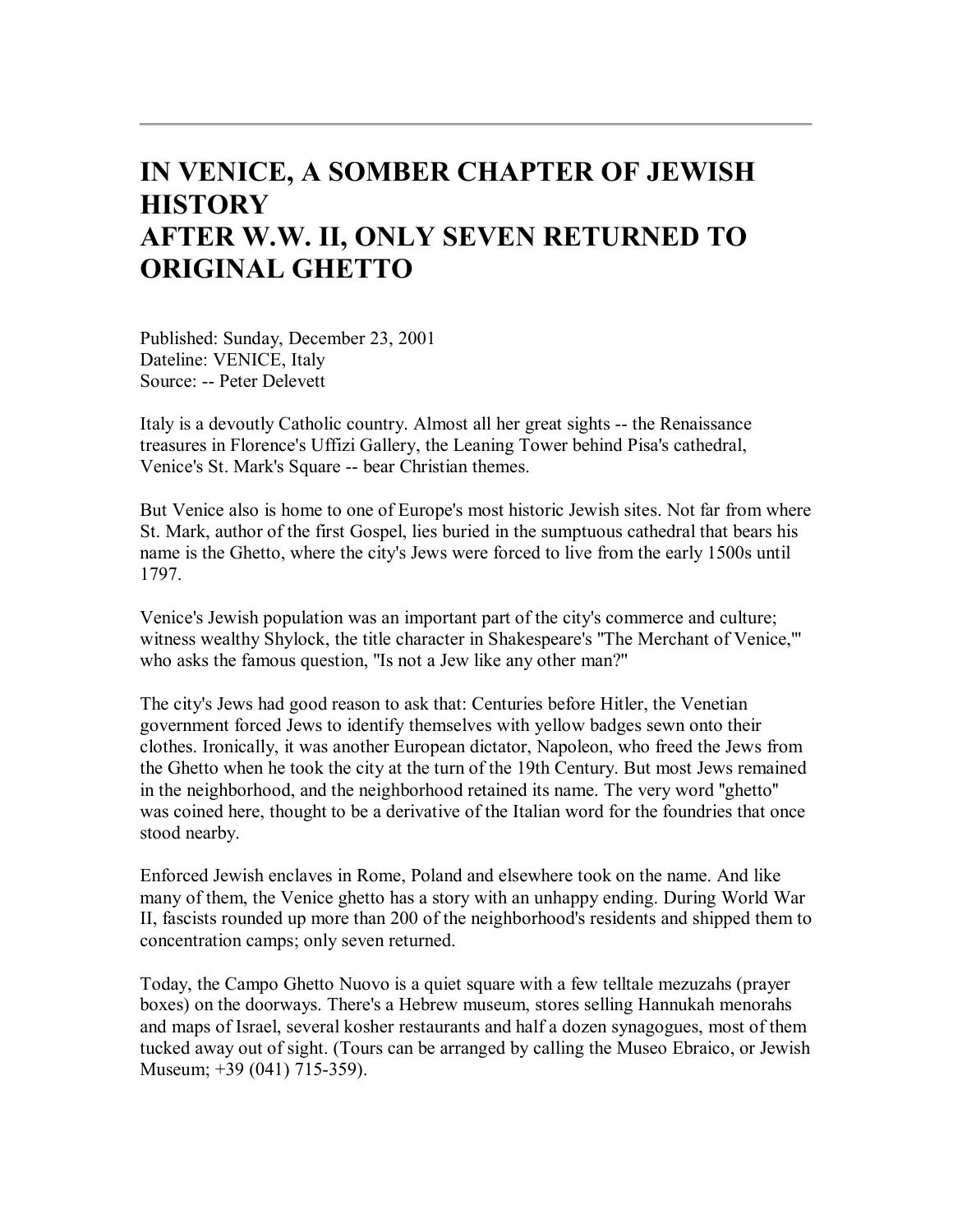# **IN VENICE, A SOMBER CHAPTER OF JEWISH HISTORY AFTER W.W. II, ONLY SEVEN RETURNED TO ORIGINAL GHETTO**

Published: Sunday, December 23, 2001 Dateline: VENICE, Italy Source: -- Peter Delevett

Italy is a devoutly Catholic country. Almost all her great sights -- the Renaissance treasures in Florence's Uffizi Gallery, the Leaning Tower behind Pisa's cathedral, Venice's St. Mark's Square -- bear Christian themes.

But Venice also is home to one of Europe's most historic Jewish sites. Not far from where St. Mark, author of the first Gospel, lies buried in the sumptuous cathedral that bears his name is the Ghetto, where the city's Jews were forced to live from the early 1500s until 1797.

Venice's Jewish population was an important part of the city's commerce and culture; witness wealthy Shylock, the title character in Shakespeare's ''The Merchant of Venice,''' who asks the famous question, "Is not a Jew like any other man?"

The city's Jews had good reason to ask that: Centuries before Hitler, the Venetian government forced Jews to identify themselves with yellow badges sewn onto their clothes. Ironically, it was another European dictator, Napoleon, who freed the Jews from the Ghetto when he took the city at the turn of the 19th Century. But most Jews remained in the neighborhood, and the neighborhood retained its name. The very word ''ghetto'' was coined here, thought to be a derivative of the Italian word for the foundries that once stood nearby.

Enforced Jewish enclaves in Rome, Poland and elsewhere took on the name. And like many of them, the Venice ghetto has a story with an unhappy ending. During World War II, fascists rounded up more than 200 of the neighborhood's residents and shipped them to concentration camps; only seven returned.

Today, the Campo Ghetto Nuovo is a quiet square with a few telltale mezuzahs (prayer boxes) on the doorways. There's a Hebrew museum, stores selling Hannukah menorahs and maps of Israel, several kosher restaurants and half a dozen synagogues, most of them tucked away out of sight. (Tours can be arranged by calling the Museo Ebraico, or Jewish Museum; +39 (041) 715-359).